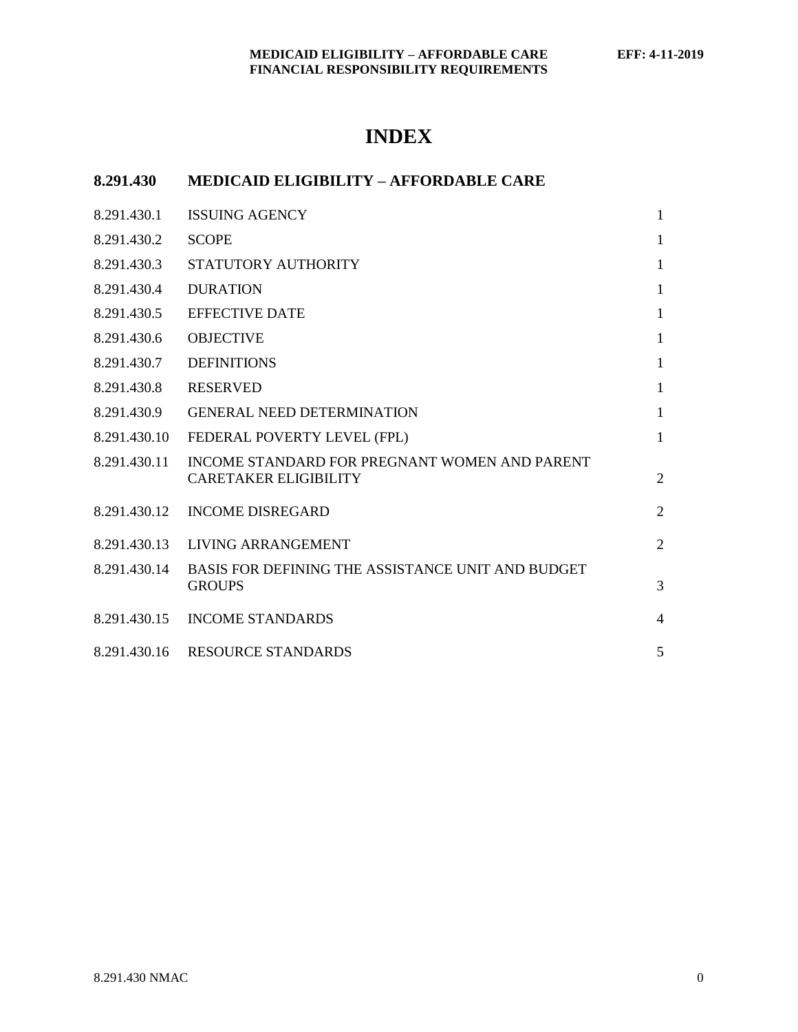# **INDEX**

## **8.291.430 MEDICAID ELIGIBILITY – AFFORDABLE CARE**

| 8.291.430.1  | <b>ISSUING AGENCY</b>                                                         | $\mathbf{1}$   |
|--------------|-------------------------------------------------------------------------------|----------------|
| 8.291.430.2  | <b>SCOPE</b>                                                                  | $\mathbf{1}$   |
| 8.291.430.3  | STATUTORY AUTHORITY                                                           | $\mathbf{1}$   |
| 8.291.430.4  | <b>DURATION</b>                                                               | $\mathbf{1}$   |
| 8.291.430.5  | <b>EFFECTIVE DATE</b>                                                         | $\mathbf{1}$   |
| 8.291.430.6  | <b>OBJECTIVE</b>                                                              | $\mathbf{1}$   |
| 8.291.430.7  | <b>DEFINITIONS</b>                                                            | $\mathbf{1}$   |
| 8.291.430.8  | <b>RESERVED</b>                                                               | $\mathbf{1}$   |
| 8.291.430.9  | <b>GENERAL NEED DETERMINATION</b>                                             | $\mathbf{1}$   |
| 8.291.430.10 | FEDERAL POVERTY LEVEL (FPL)                                                   | $\mathbf{1}$   |
| 8.291.430.11 | INCOME STANDARD FOR PREGNANT WOMEN AND PARENT<br><b>CARETAKER ELIGIBILITY</b> | $\overline{2}$ |
| 8.291.430.12 | <b>INCOME DISREGARD</b>                                                       | $\overline{2}$ |
| 8.291.430.13 | LIVING ARRANGEMENT                                                            | $\overline{2}$ |
| 8.291.430.14 | BASIS FOR DEFINING THE ASSISTANCE UNIT AND BUDGET<br><b>GROUPS</b>            | 3              |
|              | 8.291.430.15 INCOME STANDARDS                                                 | $\overline{4}$ |
|              | 8.291.430.16 RESOURCE STANDARDS                                               | 5              |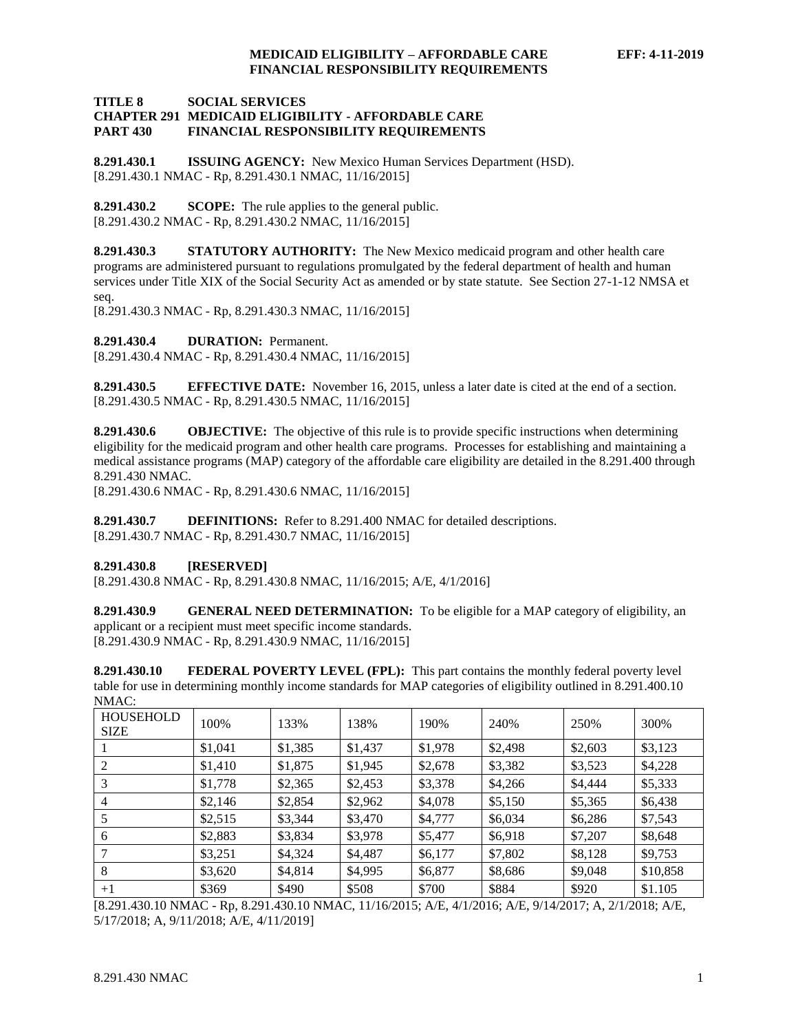#### **TITLE 8 SOCIAL SERVICES CHAPTER 291 MEDICAID ELIGIBILITY - AFFORDABLE CARE PART 430 FINANCIAL RESPONSIBILITY REQUIREMENTS**

<span id="page-1-0"></span>**8.291.430.1 ISSUING AGENCY:** New Mexico Human Services Department (HSD). [8.291.430.1 NMAC - Rp, 8.291.430.1 NMAC, 11/16/2015]

<span id="page-1-1"></span>**8.291.430.2 SCOPE:** The rule applies to the general public. [8.291.430.2 NMAC - Rp, 8.291.430.2 NMAC, 11/16/2015]

<span id="page-1-2"></span>**8.291.430.3 STATUTORY AUTHORITY:** The New Mexico medicaid program and other health care programs are administered pursuant to regulations promulgated by the federal department of health and human services under Title XIX of the Social Security Act as amended or by state statute. See Section 27-1-12 NMSA et seq.

[8.291.430.3 NMAC - Rp, 8.291.430.3 NMAC, 11/16/2015]

<span id="page-1-3"></span>**8.291.430.4 DURATION:** Permanent.

[8.291.430.4 NMAC - Rp, 8.291.430.4 NMAC, 11/16/2015]

<span id="page-1-4"></span>**8.291.430.5 EFFECTIVE DATE:** November 16, 2015, unless a later date is cited at the end of a section. [8.291.430.5 NMAC - Rp, 8.291.430.5 NMAC, 11/16/2015]

<span id="page-1-5"></span>**8.291.430.6 OBJECTIVE:** The objective of this rule is to provide specific instructions when determining eligibility for the medicaid program and other health care programs. Processes for establishing and maintaining a medical assistance programs (MAP) category of the affordable care eligibility are detailed in the 8.291.400 through 8.291.430 NMAC.

[8.291.430.6 NMAC - Rp, 8.291.430.6 NMAC, 11/16/2015]

<span id="page-1-6"></span>**8.291.430.7 DEFINITIONS:** Refer to 8.291.400 NMAC for detailed descriptions. [8.291.430.7 NMAC - Rp, 8.291.430.7 NMAC, 11/16/2015]

### <span id="page-1-7"></span>**8.291.430.8 [RESERVED]**

[8.291.430.8 NMAC - Rp, 8.291.430.8 NMAC, 11/16/2015; A/E, 4/1/2016]

<span id="page-1-8"></span>**8.291.430.9 GENERAL NEED DETERMINATION:** To be eligible for a MAP category of eligibility, an applicant or a recipient must meet specific income standards. [8.291.430.9 NMAC - Rp, 8.291.430.9 NMAC, 11/16/2015]

<span id="page-1-9"></span>**8.291.430.10 FEDERAL POVERTY LEVEL (FPL):** This part contains the monthly federal poverty level table for use in determining monthly income standards for MAP categories of eligibility outlined in 8.291.400.10  $NMAAC$ 

| <b>HOUSEHOLD</b><br><b>SIZE</b> | 100%    | 133%    | 138%    | 190%    | 240%    | 250%    | 300\%    |
|---------------------------------|---------|---------|---------|---------|---------|---------|----------|
|                                 | \$1,041 | \$1,385 | \$1,437 | \$1,978 | \$2,498 | \$2,603 | \$3,123  |
| 2                               | \$1,410 | \$1,875 | \$1,945 | \$2,678 | \$3,382 | \$3,523 | \$4,228  |
|                                 | \$1,778 | \$2,365 | \$2,453 | \$3,378 | \$4,266 | \$4,444 | \$5,333  |
| 4                               | \$2,146 | \$2,854 | \$2,962 | \$4,078 | \$5,150 | \$5,365 | \$6,438  |
|                                 | \$2,515 | \$3,344 | \$3,470 | \$4,777 | \$6,034 | \$6,286 | \$7,543  |
| 6                               | \$2,883 | \$3,834 | \$3,978 | \$5,477 | \$6,918 | \$7,207 | \$8,648  |
|                                 | \$3,251 | \$4,324 | \$4,487 | \$6,177 | \$7,802 | \$8,128 | \$9,753  |
| 8                               | \$3,620 | \$4,814 | \$4,995 | \$6,877 | \$8,686 | \$9,048 | \$10,858 |
| $+1$                            | \$369   | \$490   | \$508   | \$700   | \$884   | \$920   | \$1.105  |

[8.291.430.10 NMAC - Rp, 8.291.430.10 NMAC, 11/16/2015; A/E, 4/1/2016; A/E, 9/14/2017; A, 2/1/2018; A/E, 5/17/2018; A, 9/11/2018; A/E, 4/11/2019]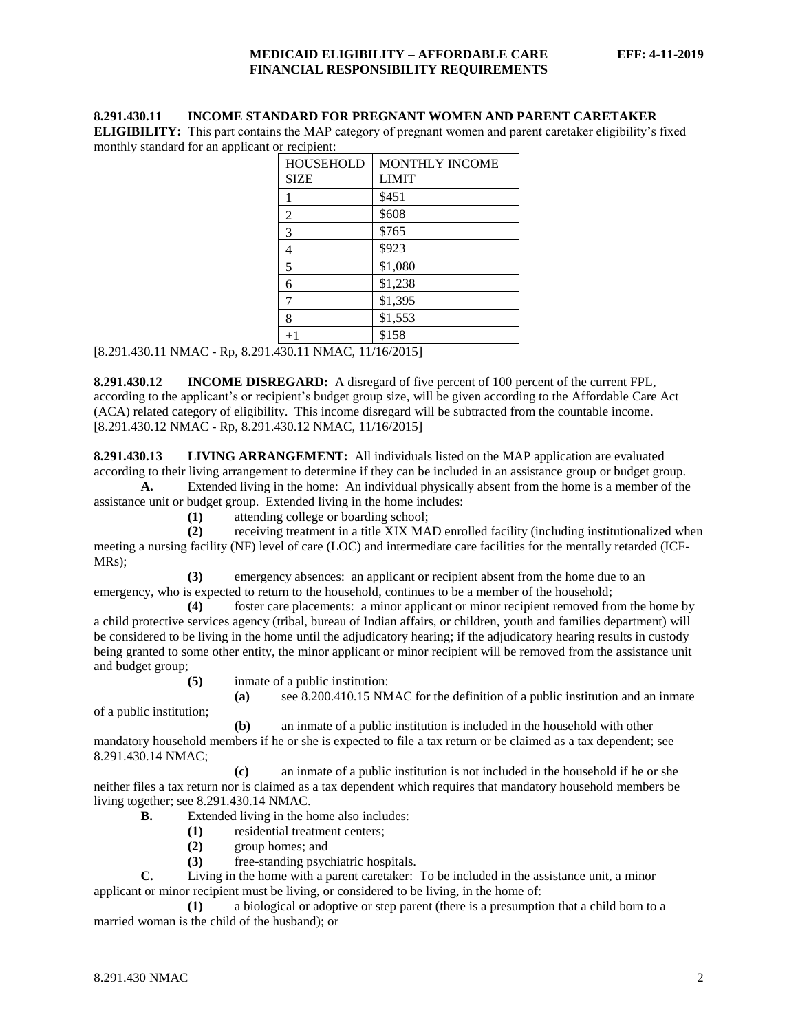#### <span id="page-2-0"></span>**8.291.430.11 INCOME STANDARD FOR PREGNANT WOMEN AND PARENT CARETAKER**

**ELIGIBILITY:** This part contains the MAP category of pregnant women and parent caretaker eligibility's fixed monthly standard for an applicant or recipient:

| <b>MONTHLY INCOME</b> |  |  |  |
|-----------------------|--|--|--|
| <b>LIMIT</b>          |  |  |  |
| \$451                 |  |  |  |
| \$608                 |  |  |  |
| \$765                 |  |  |  |
| \$923                 |  |  |  |
| \$1,080               |  |  |  |
| \$1,238               |  |  |  |
| \$1,395               |  |  |  |
| \$1,553               |  |  |  |
| \$158                 |  |  |  |
|                       |  |  |  |

[8.291.430.11 NMAC - Rp, 8.291.430.11 NMAC, 11/16/2015]

<span id="page-2-1"></span>**8.291.430.12 INCOME DISREGARD:** A disregard of five percent of 100 percent of the current FPL, according to the applicant's or recipient's budget group size, will be given according to the Affordable Care Act (ACA) related category of eligibility. This income disregard will be subtracted from the countable income. [8.291.430.12 NMAC - Rp, 8.291.430.12 NMAC, 11/16/2015]

<span id="page-2-2"></span>**8.291.430.13 LIVING ARRANGEMENT:** All individuals listed on the MAP application are evaluated according to their living arrangement to determine if they can be included in an assistance group or budget group.

**A.** Extended living in the home: An individual physically absent from the home is a member of the assistance unit or budget group. Extended living in the home includes:

**(1)** attending college or boarding school;

**(2)** receiving treatment in a title XIX MAD enrolled facility (including institutionalized when meeting a nursing facility (NF) level of care (LOC) and intermediate care facilities for the mentally retarded (ICF-MRs);

**(3)** emergency absences: an applicant or recipient absent from the home due to an emergency, who is expected to return to the household, continues to be a member of the household;

**(4)** foster care placements: a minor applicant or minor recipient removed from the home by a child protective services agency (tribal, bureau of Indian affairs, or children, youth and families department) will be considered to be living in the home until the adjudicatory hearing; if the adjudicatory hearing results in custody being granted to some other entity, the minor applicant or minor recipient will be removed from the assistance unit and budget group;

**(5)** inmate of a public institution:

**(a)** see 8.200.410.15 NMAC for the definition of a public institution and an inmate

of a public institution;

**(b)** an inmate of a public institution is included in the household with other mandatory household members if he or she is expected to file a tax return or be claimed as a tax dependent; see 8.291.430.14 NMAC;

**(c)** an inmate of a public institution is not included in the household if he or she neither files a tax return nor is claimed as a tax dependent which requires that mandatory household members be living together; see 8.291.430.14 NMAC.

**B.** Extended living in the home also includes:

- **(1)** residential treatment centers;
- **(2)** group homes; and
- **(3)** free-standing psychiatric hospitals.

**C.** Living in the home with a parent caretaker: To be included in the assistance unit, a minor applicant or minor recipient must be living, or considered to be living, in the home of:

**(1)** a biological or adoptive or step parent (there is a presumption that a child born to a married woman is the child of the husband); or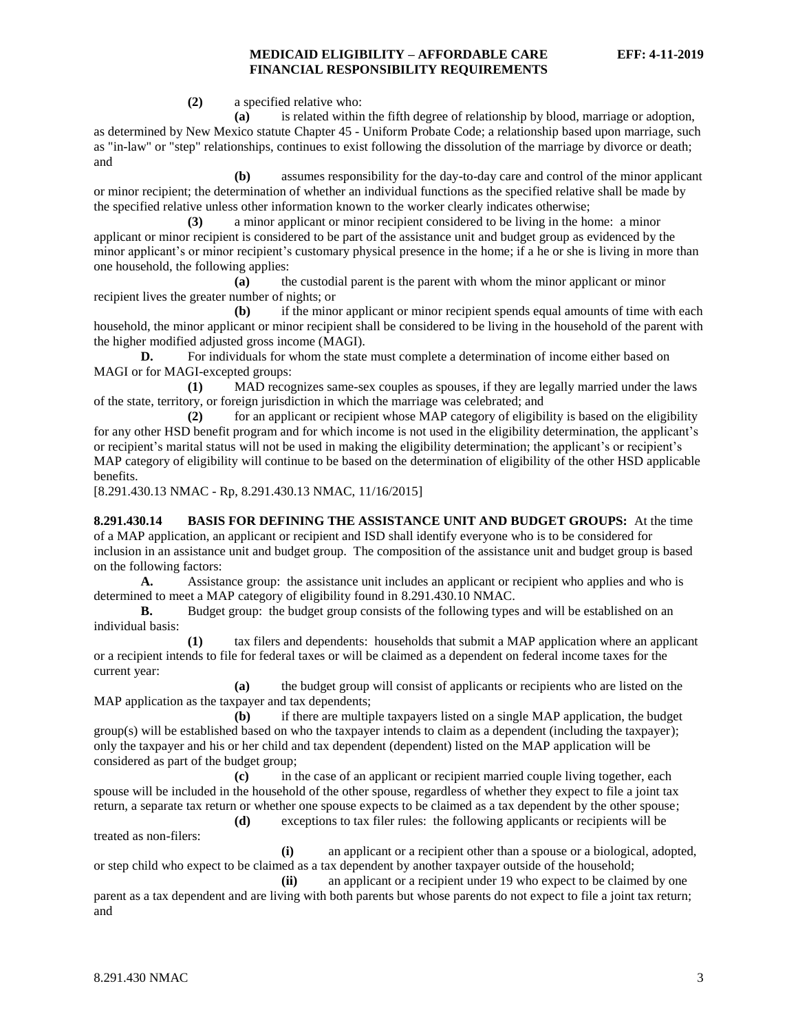**(2)** a specified relative who:

**(a)** is related within the fifth degree of relationship by blood, marriage or adoption, as determined by New Mexico statute Chapter 45 - Uniform Probate Code; a relationship based upon marriage, such as "in-law" or "step" relationships, continues to exist following the dissolution of the marriage by divorce or death; and

**(b)** assumes responsibility for the day-to-day care and control of the minor applicant or minor recipient; the determination of whether an individual functions as the specified relative shall be made by the specified relative unless other information known to the worker clearly indicates otherwise;

**(3)** a minor applicant or minor recipient considered to be living in the home: a minor applicant or minor recipient is considered to be part of the assistance unit and budget group as evidenced by the minor applicant's or minor recipient's customary physical presence in the home; if a he or she is living in more than one household, the following applies:

**(a)** the custodial parent is the parent with whom the minor applicant or minor recipient lives the greater number of nights; or

**(b)** if the minor applicant or minor recipient spends equal amounts of time with each household, the minor applicant or minor recipient shall be considered to be living in the household of the parent with the higher modified adjusted gross income (MAGI).

**D.** For individuals for whom the state must complete a determination of income either based on MAGI or for MAGI-excepted groups:

**(1)** MAD recognizes same-sex couples as spouses, if they are legally married under the laws of the state, territory, or foreign jurisdiction in which the marriage was celebrated; and

**(2)** for an applicant or recipient whose MAP category of eligibility is based on the eligibility for any other HSD benefit program and for which income is not used in the eligibility determination, the applicant's or recipient's marital status will not be used in making the eligibility determination; the applicant's or recipient's MAP category of eligibility will continue to be based on the determination of eligibility of the other HSD applicable benefits.

[8.291.430.13 NMAC - Rp, 8.291.430.13 NMAC, 11/16/2015]

<span id="page-3-0"></span>**8.291.430.14 BASIS FOR DEFINING THE ASSISTANCE UNIT AND BUDGET GROUPS:** At the time of a MAP application, an applicant or recipient and ISD shall identify everyone who is to be considered for inclusion in an assistance unit and budget group. The composition of the assistance unit and budget group is based on the following factors:

**A.** Assistance group: the assistance unit includes an applicant or recipient who applies and who is determined to meet a MAP category of eligibility found in 8.291.430.10 NMAC.<br> **B.** Budget group: the budget group consists of the following types

Budget group: the budget group consists of the following types and will be established on an individual basis:

**(1)** tax filers and dependents: households that submit a MAP application where an applicant or a recipient intends to file for federal taxes or will be claimed as a dependent on federal income taxes for the current year:

**(a)** the budget group will consist of applicants or recipients who are listed on the MAP application as the taxpayer and tax dependents;

**(b)** if there are multiple taxpayers listed on a single MAP application, the budget group(s) will be established based on who the taxpayer intends to claim as a dependent (including the taxpayer); only the taxpayer and his or her child and tax dependent (dependent) listed on the MAP application will be considered as part of the budget group;

**(c)** in the case of an applicant or recipient married couple living together, each spouse will be included in the household of the other spouse, regardless of whether they expect to file a joint tax return, a separate tax return or whether one spouse expects to be claimed as a tax dependent by the other spouse;

**(d)** exceptions to tax filer rules: the following applicants or recipients will be

treated as non-filers:

**(i)** an applicant or a recipient other than a spouse or a biological, adopted, or step child who expect to be claimed as a tax dependent by another taxpayer outside of the household;

**(ii)** an applicant or a recipient under 19 who expect to be claimed by one parent as a tax dependent and are living with both parents but whose parents do not expect to file a joint tax return; and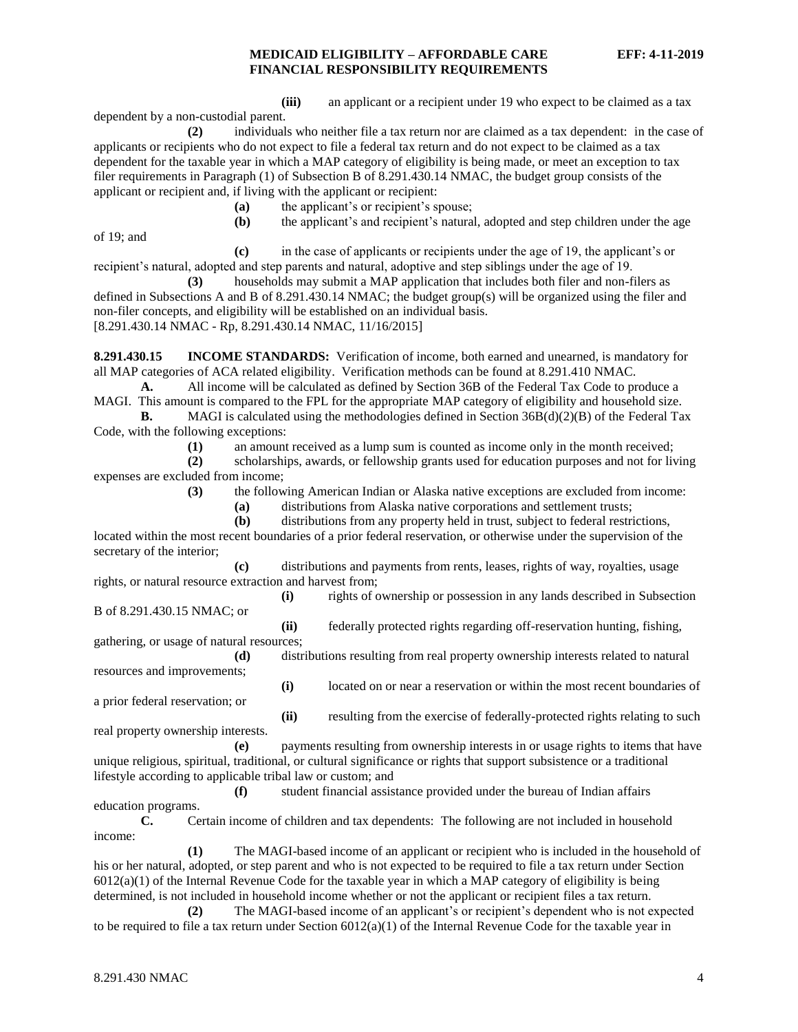**(iii)** an applicant or a recipient under 19 who expect to be claimed as a tax dependent by a non-custodial parent.

**(2)** individuals who neither file a tax return nor are claimed as a tax dependent: in the case of applicants or recipients who do not expect to file a federal tax return and do not expect to be claimed as a tax dependent for the taxable year in which a MAP category of eligibility is being made, or meet an exception to tax filer requirements in Paragraph (1) of Subsection B of 8.291.430.14 NMAC, the budget group consists of the applicant or recipient and, if living with the applicant or recipient:

**(a)** the applicant's or recipient's spouse;

**(b)** the applicant's and recipient's natural, adopted and step children under the age

of 19; and

**(c)** in the case of applicants or recipients under the age of 19, the applicant's or recipient's natural, adopted and step parents and natural, adoptive and step siblings under the age of 19.

**(3)** households may submit a MAP application that includes both filer and non-filers as defined in Subsections A and B of 8.291.430.14 NMAC; the budget group(s) will be organized using the filer and non-filer concepts, and eligibility will be established on an individual basis. [8.291.430.14 NMAC - Rp, 8.291.430.14 NMAC, 11/16/2015]

<span id="page-4-0"></span>**8.291.430.15 INCOME STANDARDS:** Verification of income, both earned and unearned, is mandatory for all MAP categories of ACA related eligibility. Verification methods can be found at 8.291.410 NMAC.

**A.** All income will be calculated as defined by Section 36B of the Federal Tax Code to produce a MAGI. This amount is compared to the FPL for the appropriate MAP category of eligibility and household size.

**B.** MAGI is calculated using the methodologies defined in Section 36B(d)(2)(B) of the Federal Tax Code, with the following exceptions:

**(1)** an amount received as a lump sum is counted as income only in the month received;

**(2)** scholarships, awards, or fellowship grants used for education purposes and not for living expenses are excluded from income;

**(3)** the following American Indian or Alaska native exceptions are excluded from income:

**(a)** distributions from Alaska native corporations and settlement trusts;

**(b)** distributions from any property held in trust, subject to federal restrictions, located within the most recent boundaries of a prior federal reservation, or otherwise under the supervision of the secretary of the interior;

**(c)** distributions and payments from rents, leases, rights of way, royalties, usage rights, or natural resource extraction and harvest from;

**(i)** rights of ownership or possession in any lands described in Subsection B of 8.291.430.15 NMAC; or

**(ii)** federally protected rights regarding off-reservation hunting, fishing, gathering, or usage of natural resources;

**(d)** distributions resulting from real property ownership interests related to natural resources and improvements;

**(i)** located on or near a reservation or within the most recent boundaries of a prior federal reservation; or

real property ownership interests.

**(ii)** resulting from the exercise of federally-protected rights relating to such

**(e)** payments resulting from ownership interests in or usage rights to items that have unique religious, spiritual, traditional, or cultural significance or rights that support subsistence or a traditional lifestyle according to applicable tribal law or custom; and

**(f)** student financial assistance provided under the bureau of Indian affairs education programs.

**C.** Certain income of children and tax dependents: The following are not included in household income:

**(1)** The MAGI-based income of an applicant or recipient who is included in the household of his or her natural, adopted, or step parent and who is not expected to be required to file a tax return under Section  $6012(a)(1)$  of the Internal Revenue Code for the taxable year in which a MAP category of eligibility is being determined, is not included in household income whether or not the applicant or recipient files a tax return.

**(2)** The MAGI-based income of an applicant's or recipient's dependent who is not expected to be required to file a tax return under Section  $6012(a)(1)$  of the Internal Revenue Code for the taxable year in